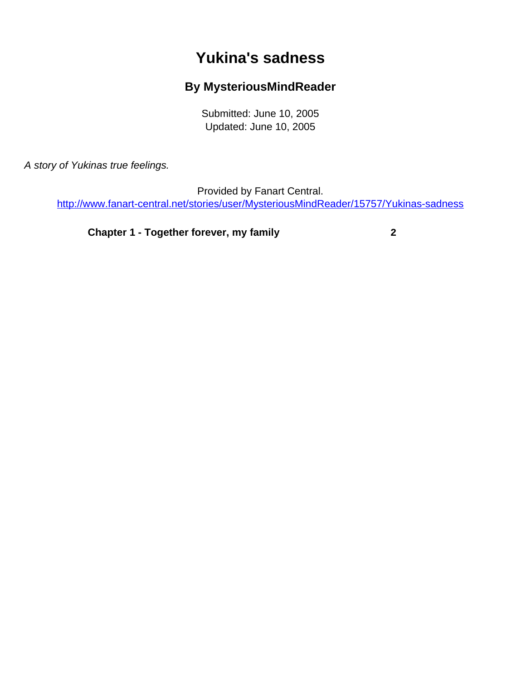## **Yukina's sadness**

## **By MysteriousMindReader**

Submitted: June 10, 2005 Updated: June 10, 2005

<span id="page-0-0"></span>A story of Yukinas true feelings.

Provided by Fanart Central.

[http://www.fanart-central.net/stories/user/MysteriousMindReader/15757/Yukinas-sadness](#page-0-0)

**[Chapter 1 - Together forever, my family](#page-1-0) [2](#page-1-0)**